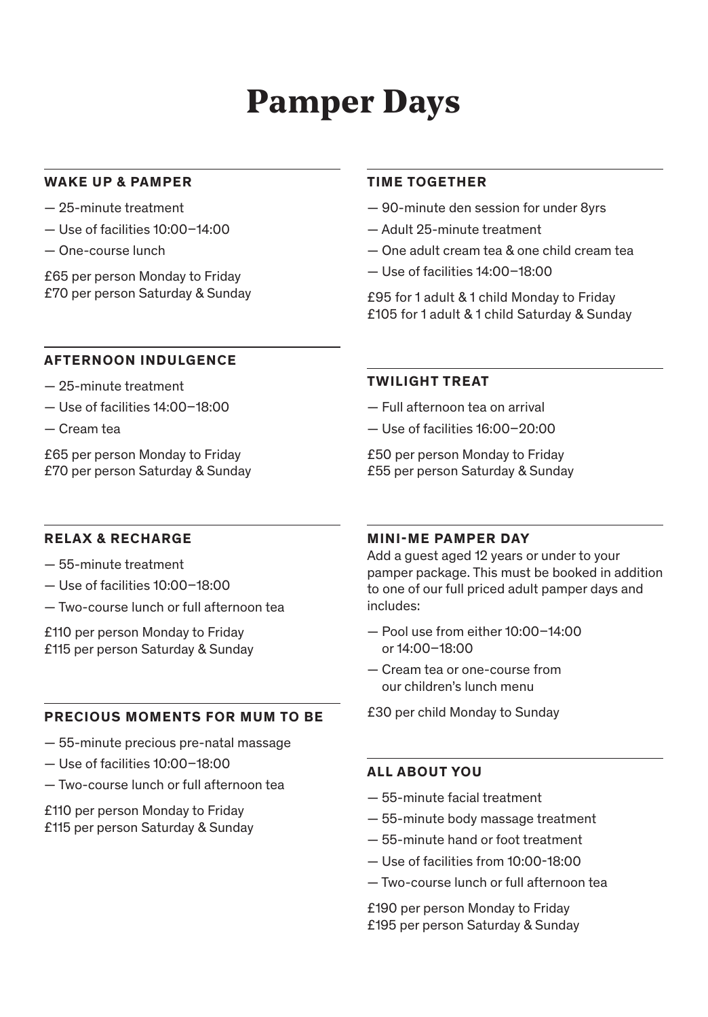# **Pamper Days**

#### **WAKE UP & PAMPER**

- 25-minute treatment
- Use of facilities 10:00–14:00
- One-course lunch

£65 per person Monday to Friday £70 per person Saturday & Sunday

### **TIME TOGETHER**

- 90-minute den session for under 8yrs
- Adult 25-minute treatment
- One adult cream tea & one child cream tea
- Use of facilities 14:00–18:00

£95 for 1 adult & 1 child Monday to Friday £105 for 1 adult & 1 child Saturday & Sunday

#### **AFTERNOON INDULGENCE**

- 25-minute treatment
- Use of facilities 14:00–18:00
- Cream tea

£65 per person Monday to Friday £70 per person Saturday & Sunday

#### **RELAX & RECHARGE**

- 55-minute treatment
- Use of facilities 10:00–18:00
- Two-course lunch or full afternoon tea

£110 per person Monday to Friday £115 per person Saturday & Sunday

#### **PRECIOUS MOMENTS FOR MUM TO BE**

- 55-minute precious pre-natal massage
- Use of facilities 10:00–18:00
- Two-course lunch or full afternoon tea

£110 per person Monday to Friday £115 per person Saturday & Sunday

#### **TWILIGHT TREAT**

- Full afternoon tea on arrival
- Use of facilities 16:00–20:00

£50 per person Monday to Friday £55 per person Saturday & Sunday

#### **MINI-ME PAMPER DAY**

Add a guest aged 12 years or under to your pamper package. This must be booked in addition to one of our full priced adult pamper days and includes:

- Pool use from either 10:00–14:00 or 14:00–18:00
- Cream tea or one-course from our children's lunch menu

£30 per child Monday to Sunday

#### **ALL ABOUT YOU**

- 55-minute facial treatment
- 55-minute body massage treatment
- 55-minute hand or foot treatment
- Use of facilities from 10:00-18:00
- Two-course lunch or full afternoon tea

£190 per person Monday to Friday £195 per person Saturday & Sunday